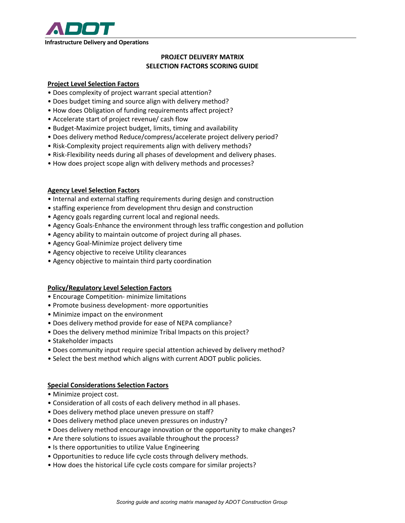

# **PROJECT DELIVERY MATRIX SELECTION FACTORS SCORING GUIDE**

## **Project Level Selection Factors**

- Does complexity of project warrant special attention?
- Does budget timing and source align with delivery method?
- How does Obligation of funding requirements affect project?
- Accelerate start of project revenue/ cash flow
- Budget-Maximize project budget, limits, timing and availability
- Does delivery method Reduce/compress/accelerate project delivery period?
- Risk-Complexity project requirements align with delivery methods?
- Risk-Flexibility needs during all phases of development and delivery phases.
- How does project scope align with delivery methods and processes?

## **Agency Level Selection Factors**

- Internal and external staffing requirements during design and construction
- staffing experience from development thru design and construction
- Agency goals regarding current local and regional needs.
- Agency Goals-Enhance the environment through less traffic congestion and pollution
- Agency ability to maintain outcome of project during all phases.
- Agency Goal-Minimize project delivery time
- Agency objective to receive Utility clearances
- Agency objective to maintain third party coordination

## **Policy/Regulatory Level Selection Factors**

- Encourage Competition- minimize limitations
- Promote business development- more opportunities
- Minimize impact on the environment
- Does delivery method provide for ease of NEPA compliance?
- Does the delivery method minimize Tribal Impacts on this project?
- Stakeholder impacts
- Does community input require special attention achieved by delivery method?
- Select the best method which aligns with current ADOT public policies.

## **Special Considerations Selection Factors**

- Minimize project cost.
- Consideration of all costs of each delivery method in all phases.
- Does delivery method place uneven pressure on staff?
- Does delivery method place uneven pressures on industry?
- Does delivery method encourage innovation or the opportunity to make changes?
- Are there solutions to issues available throughout the process?
- Is there opportunities to utilize Value Engineering
- Opportunities to reduce life cycle costs through delivery methods.
- How does the historical Life cycle costs compare for similar projects?